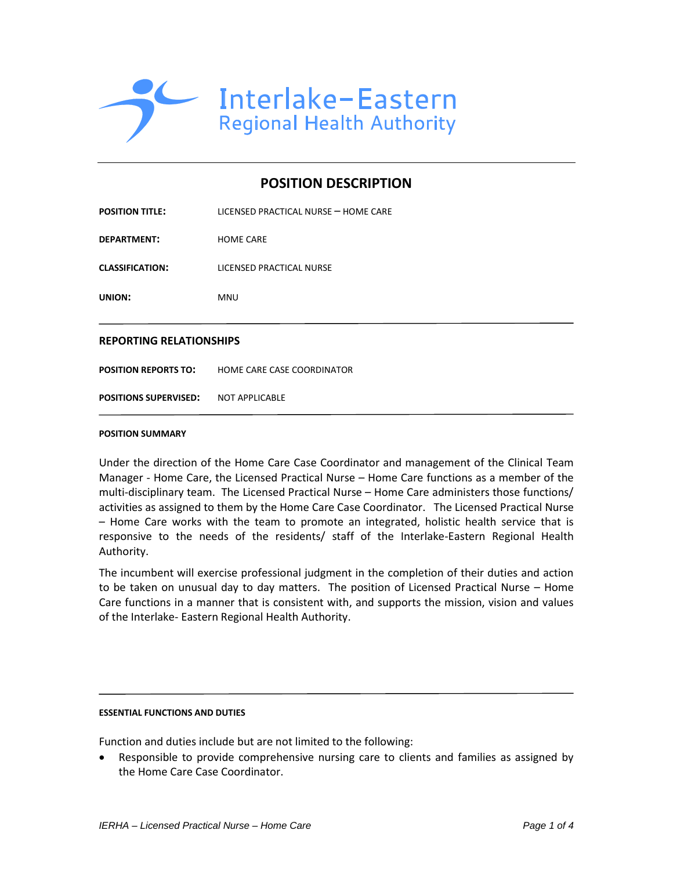

# **POSITION DESCRIPTION**

| <b>REPORTING RELATIONSHIPS</b> |                                      |  |  |
|--------------------------------|--------------------------------------|--|--|
| <b>UNION:</b>                  | <b>MNU</b>                           |  |  |
| <b>CLASSIFICATION:</b>         | LICENSED PRACTICAL NURSE             |  |  |
| <b>DEPARTMENT:</b>             | <b>HOME CARE</b>                     |  |  |
| <b>POSITION TITLE:</b>         | LICENSED PRACTICAL NURSE - HOME CARE |  |  |

**POSITION REPORTS TO: HOME CARE CASE COORDINATOR** 

**POSITIONS SUPERVISED:** NOT APPLICABLE

## **POSITION SUMMARY**

Under the direction of the Home Care Case Coordinator and management of the Clinical Team Manager - Home Care, the Licensed Practical Nurse – Home Care functions as a member of the multi-disciplinary team. The Licensed Practical Nurse – Home Care administers those functions/ activities as assigned to them by the Home Care Case Coordinator. The Licensed Practical Nurse – Home Care works with the team to promote an integrated, holistic health service that is responsive to the needs of the residents/ staff of the Interlake-Eastern Regional Health Authority.

The incumbent will exercise professional judgment in the completion of their duties and action to be taken on unusual day to day matters. The position of Licensed Practical Nurse – Home Care functions in a manner that is consistent with, and supports the mission, vision and values of the Interlake- Eastern Regional Health Authority.

## **ESSENTIAL FUNCTIONS AND DUTIES**

Function and duties include but are not limited to the following:

 Responsible to provide comprehensive nursing care to clients and families as assigned by the Home Care Case Coordinator.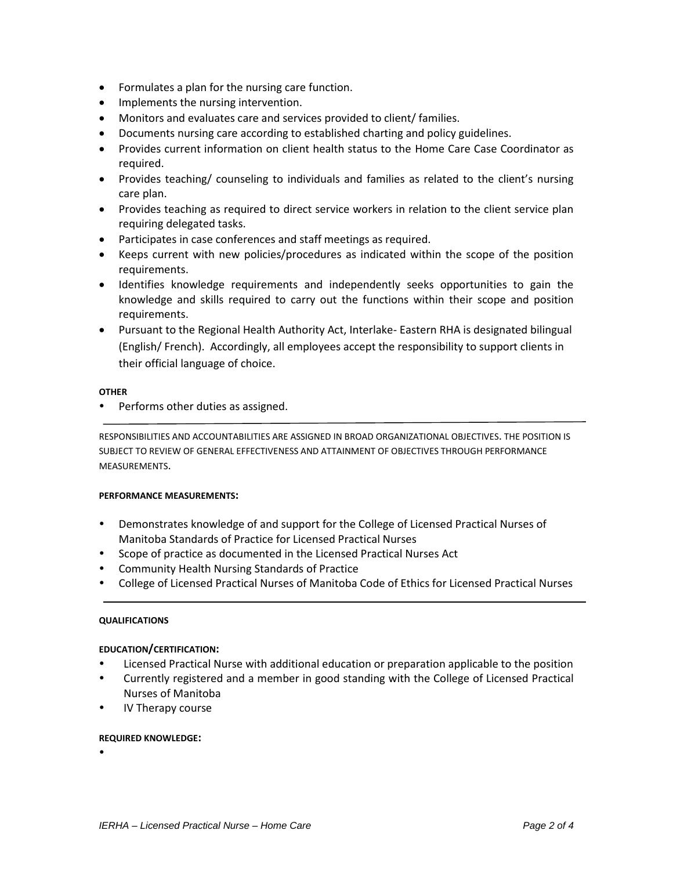- Formulates a plan for the nursing care function.
- Implements the nursing intervention.
- Monitors and evaluates care and services provided to client/ families.
- Documents nursing care according to established charting and policy guidelines.
- Provides current information on client health status to the Home Care Case Coordinator as required.
- Provides teaching/ counseling to individuals and families as related to the client's nursing care plan.
- Provides teaching as required to direct service workers in relation to the client service plan requiring delegated tasks.
- Participates in case conferences and staff meetings as required.
- Keeps current with new policies/procedures as indicated within the scope of the position requirements.
- Identifies knowledge requirements and independently seeks opportunities to gain the knowledge and skills required to carry out the functions within their scope and position requirements.
- Pursuant to the Regional Health Authority Act, Interlake- Eastern RHA is designated bilingual (English/ French). Accordingly, all employees accept the responsibility to support clients in their official language of choice.

#### **OTHER**

• Performs other duties as assigned.

RESPONSIBILITIES AND ACCOUNTABILITIES ARE ASSIGNED IN BROAD ORGANIZATIONAL OBJECTIVES. THE POSITION IS SUBJECT TO REVIEW OF GENERAL EFFECTIVENESS AND ATTAINMENT OF OBJECTIVES THROUGH PERFORMANCE MEASUREMENTS.

## **PERFORMANCE MEASUREMENTS:**

- Demonstrates knowledge of and support for the College of Licensed Practical Nurses of Manitoba Standards of Practice for Licensed Practical Nurses
- Scope of practice as documented in the Licensed Practical Nurses Act
- Community Health Nursing Standards of Practice
- College of Licensed Practical Nurses of Manitoba Code of Ethics for Licensed Practical Nurses

#### **QUALIFICATIONS**

## **EDUCATION/CERTIFICATION:**

- Licensed Practical Nurse with additional education or preparation applicable to the position
- Currently registered and a member in good standing with the College of Licensed Practical Nurses of Manitoba
- IV Therapy course

#### **REQUIRED KNOWLEDGE:**

 $\bullet$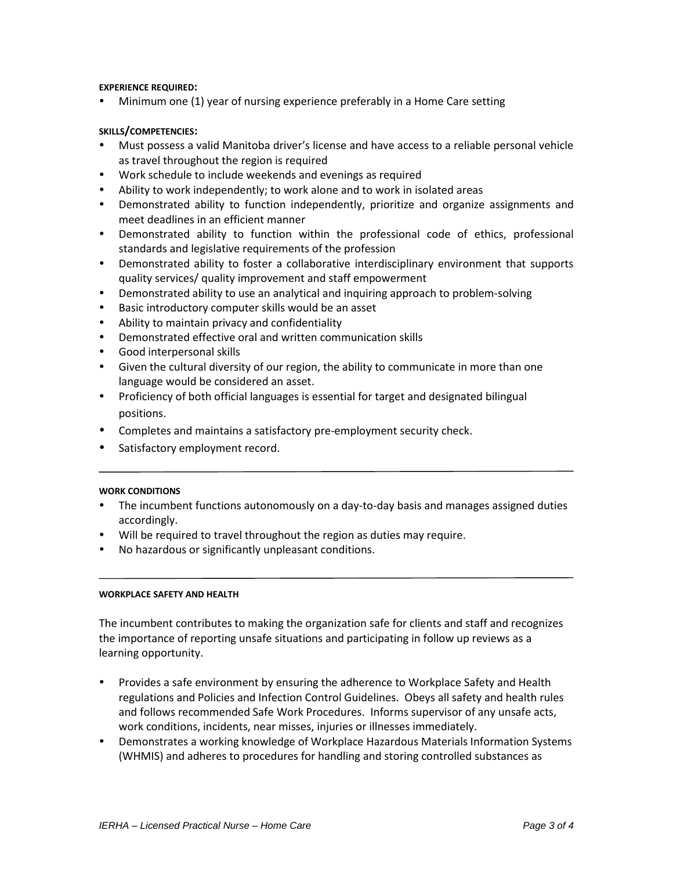## **EXPERIENCE REQUIRED:**

Minimum one (1) year of nursing experience preferably in a Home Care setting

## **SKILLS/COMPETENCIES:**

- Must possess a valid Manitoba driver's license and have access to a reliable personal vehicle as travel throughout the region is required
- Work schedule to include weekends and evenings as required
- Ability to work independently; to work alone and to work in isolated areas
- Demonstrated ability to function independently, prioritize and organize assignments and meet deadlines in an efficient manner
- Demonstrated ability to function within the professional code of ethics, professional standards and legislative requirements of the profession
- Demonstrated ability to foster a collaborative interdisciplinary environment that supports quality services/ quality improvement and staff empowerment
- Demonstrated ability to use an analytical and inquiring approach to problem-solving
- Basic introductory computer skills would be an asset
- Ability to maintain privacy and confidentiality
- Demonstrated effective oral and written communication skills
- Good interpersonal skills
- Given the cultural diversity of our region, the ability to communicate in more than one language would be considered an asset.
- Proficiency of both official languages is essential for target and designated bilingual positions.
- Completes and maintains a satisfactory pre-employment security check.
- Satisfactory employment record.

## **WORK CONDITIONS**

- The incumbent functions autonomously on a day-to-day basis and manages assigned duties accordingly.
- Will be required to travel throughout the region as duties may require.
- No hazardous or significantly unpleasant conditions.

## **WORKPLACE SAFETY AND HEALTH**

The incumbent contributes to making the organization safe for clients and staff and recognizes the importance of reporting unsafe situations and participating in follow up reviews as a learning opportunity.

- Provides a safe environment by ensuring the adherence to Workplace Safety and Health regulations and Policies and Infection Control Guidelines. Obeys all safety and health rules and follows recommended Safe Work Procedures. Informs supervisor of any unsafe acts, work conditions, incidents, near misses, injuries or illnesses immediately.
- Demonstrates a working knowledge of Workplace Hazardous Materials Information Systems (WHMIS) and adheres to procedures for handling and storing controlled substances as